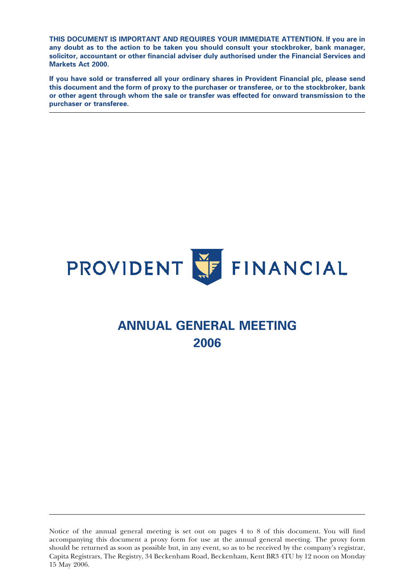THIS DOCUMENT IS IMPORTANT AND REQUIRES YOUR IMMEDIATE ATTENTION. If you are in any doubt as to the action to be taken you should consult your stockbroker, bank manager, solicitor, accountant or other financial adviser duly authorised under the Financial Services and Markets Act 2000.

If you have sold or transferred all your ordinary shares in Provident Financial plc, please send this document and the form of proxy to the purchaser or transferee, or to the stockbroker, bank or other agent through whom the sale or transfer was effected for onward transmission to the purchaser or transferee.



# ANNUAL GENERAL MEETING 2006

Notice of the annual general meeting is set out on pages 4 to 8 of this document. You will find accompanying this document a proxy form for use at the annual general meeting. The proxy form should be returned as soon as possible but, in any event, so as to be received by the company's registrar, Capita Registrars, The Registry, 34 Beckenham Road, Beckenham, Kent BR3 4TU by 12 noon on Monday 15 May 2006.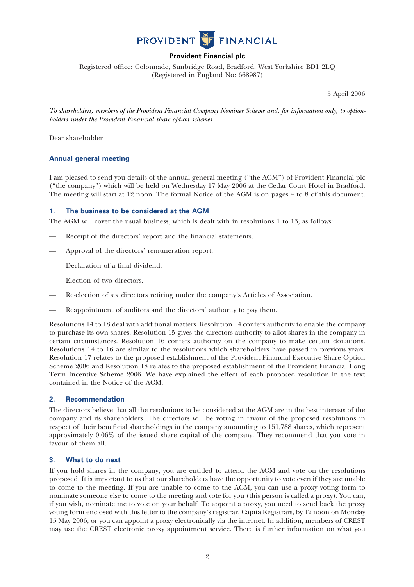

# Provident Financial plc

Registered office: Colonnade, Sunbridge Road, Bradford, West Yorkshire BD1 2LQ (Registered in England No: 668987)

5 April 2006

To shareholders, members of the Provident Financial Company Nominee Scheme and, for information only, to optionholders under the Provident Financial share option schemes

Dear shareholder

## Annual general meeting

I am pleased to send you details of the annual general meeting (''the AGM'') of Provident Financial plc (''the company'') which will be held on Wednesday 17 May 2006 at the Cedar Court Hotel in Bradford. The meeting will start at 12 noon. The formal Notice of the AGM is on pages 4 to 8 of this document.

## 1. The business to be considered at the AGM

The AGM will cover the usual business, which is dealt with in resolutions 1 to 13, as follows:

- Receipt of the directors' report and the financial statements.
- Approval of the directors' remuneration report.
- Declaration of a final dividend.
- Election of two directors.
- Re-election of six directors retiring under the company's Articles of Association.
- Reappointment of auditors and the directors' authority to pay them.

Resolutions 14 to 18 deal with additional matters. Resolution 14 confers authority to enable the company to purchase its own shares. Resolution 15 gives the directors authority to allot shares in the company in certain circumstances. Resolution 16 confers authority on the company to make certain donations. Resolutions 14 to 16 are similar to the resolutions which shareholders have passed in previous years. Resolution 17 relates to the proposed establishment of the Provident Financial Executive Share Option Scheme 2006 and Resolution 18 relates to the proposed establishment of the Provident Financial Long Term Incentive Scheme 2006. We have explained the effect of each proposed resolution in the text contained in the Notice of the AGM.

## 2. Recommendation

The directors believe that all the resolutions to be considered at the AGM are in the best interests of the company and its shareholders. The directors will be voting in favour of the proposed resolutions in respect of their beneficial shareholdings in the company amounting to 151,788 shares, which represent approximately 0.06% of the issued share capital of the company. They recommend that you vote in favour of them all.

## 3. What to do next

If you hold shares in the company, you are entitled to attend the AGM and vote on the resolutions proposed. It is important to us that our shareholders have the opportunity to vote even if they are unable to come to the meeting. If you are unable to come to the AGM, you can use a proxy voting form to nominate someone else to come to the meeting and vote for you (this person is called a proxy). You can, if you wish, nominate me to vote on your behalf. To appoint a proxy, you need to send back the proxy voting form enclosed with this letter to the company's registrar, Capita Registrars, by 12 noon on Monday 15 May 2006, or you can appoint a proxy electronically via the internet. In addition, members of CREST may use the CREST electronic proxy appointment service. There is further information on what you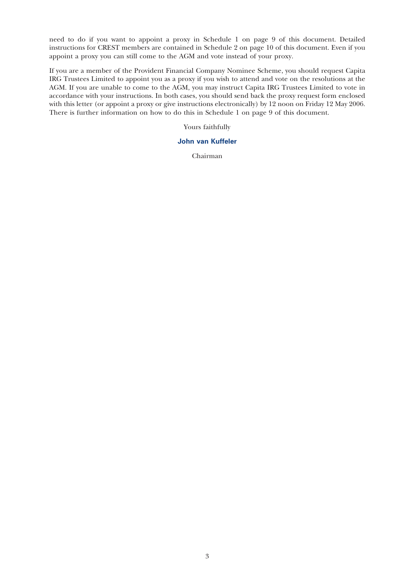need to do if you want to appoint a proxy in Schedule 1 on page 9 of this document. Detailed instructions for CREST members are contained in Schedule 2 on page 10 of this document. Even if you appoint a proxy you can still come to the AGM and vote instead of your proxy.

If you are a member of the Provident Financial Company Nominee Scheme, you should request Capita IRG Trustees Limited to appoint you as a proxy if you wish to attend and vote on the resolutions at the AGM. If you are unable to come to the AGM, you may instruct Capita IRG Trustees Limited to vote in accordance with your instructions. In both cases, you should send back the proxy request form enclosed with this letter (or appoint a proxy or give instructions electronically) by 12 noon on Friday 12 May 2006. There is further information on how to do this in Schedule 1 on page 9 of this document.

Yours faithfully

## John van Kuffeler

Chairman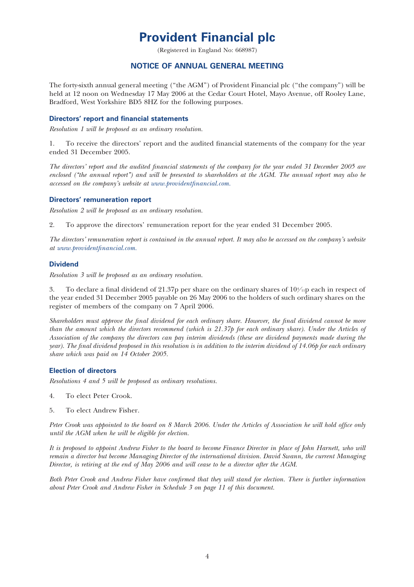# Provident Financial plc

(Registered in England No: 668987)

# NOTICE OF ANNUAL GENERAL MEETING

The forty-sixth annual general meeting (''the AGM'') of Provident Financial plc (''the company'') will be held at 12 noon on Wednesday 17 May 2006 at the Cedar Court Hotel, Mayo Avenue, off Rooley Lane, Bradford, West Yorkshire BD5 8HZ for the following purposes.

## Directors' report and financial statements

Resolution 1 will be proposed as an ordinary resolution.

1. To receive the directors' report and the audited financial statements of the company for the year ended 31 December 2005.

The directors' report and the audited financial statements of the company for the year ended 31 December 2005 are enclosed ("the annual report") and will be presented to shareholders at the AGM. The annual report may also be accessed on the company's website at www.providentfinancial.com.

## Directors' remuneration report

Resolution 2 will be proposed as an ordinary resolution.

2. To approve the directors' remuneration report for the year ended 31 December 2005.

The directors' remuneration report is contained in the annual report. It may also be accessed on the company's website at www.providentfinancial.com.

## **Dividend**

Resolution 3 will be proposed as an ordinary resolution.

3. To declare a final dividend of 21.37p per share on the ordinary shares of  $10\frac{\mu}{10}$  each in respect of the year ended 31 December 2005 payable on 26 May 2006 to the holders of such ordinary shares on the register of members of the company on 7 April 2006.

Shareholders must approve the final dividend for each ordinary share. However, the final dividend cannot be more than the amount which the directors recommend (which is 21.37p for each ordinary share). Under the Articles of Association of the company the directors can pay interim dividends (these are dividend payments made during the year). The final dividend proposed in this resolution is in addition to the interim dividend of 14.06p for each ordinary share which was paid on 14 October 2005.

## Election of directors

Resolutions 4 and 5 will be proposed as ordinary resolutions.

- 4. To elect Peter Crook.
- 5. To elect Andrew Fisher.

Peter Crook was appointed to the board on 8 March 2006. Under the Articles of Association he will hold office only until the AGM when he will be eligible for election.

It is proposed to appoint Andrew Fisher to the board to become Finance Director in place of John Harnett, who will remain a director but become Managing Director of the international division. David Swann, the current Managing Director, is retiring at the end of May 2006 and will cease to be a director after the AGM.

Both Peter Crook and Andrew Fisher have confirmed that they will stand for election. There is further information about Peter Crook and Andrew Fisher in Schedule 3 on page 11 of this document.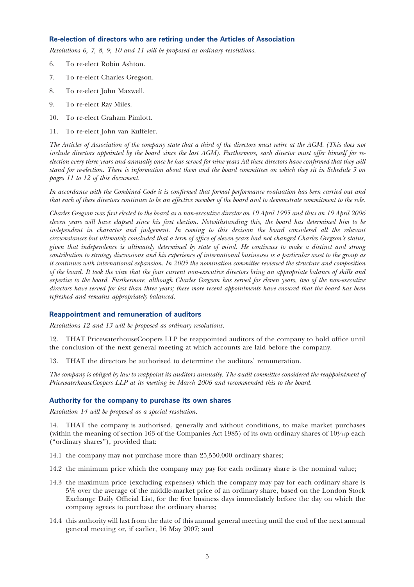## Re-election of directors who are retiring under the Articles of Association

Resolutions 6, 7, 8, 9, 10 and 11 will be proposed as ordinary resolutions.

- 6. To re-elect Robin Ashton.
- 7. To re-elect Charles Gregson.
- 8. To re-elect John Maxwell.
- 9. To re-elect Ray Miles.
- 10. To re-elect Graham Pimlott.
- 11. To re-elect John van Kuffeler.

The Articles of Association of the company state that a third of the directors must retire at the AGM. (This does not include directors appointed by the board since the last AGM). Furthermore, each director must offer himself for reelection every three years and annually once he has served for nine years All these directors have confirmed that they will stand for re-election. There is information about them and the board committees on which they sit in Schedule 3 on pages 11 to 12 of this document.

In accordance with the Combined Code it is confirmed that formal performance evaluation has been carried out and that each of these directors continues to be an effective member of the board and to demonstrate commitment to the role.

Charles Gregson was first elected to the board as a non-executive director on 19 April 1995 and thus on 19 April 2006 eleven years will have elapsed since his first election. Notwithstanding this, the board has determined him to be independent in character and judgement. In coming to this decision the board considered all the relevant circumstances but ultimately concluded that a term of office of eleven years had not changed Charles Gregson's status, given that independence is ultimately determined by state of mind. He continues to make a distinct and strong contribution to strategy discussions and his experience of international businesses is a particular asset to the group as it continues with international expansion. In 2005 the nomination committee reviewed the structure and composition of the board. It took the view that the four current non-executive directors bring an appropriate balance of skills and expertise to the board. Furthermore, although Charles Gregson has served for eleven years, two of the non-executive directors have served for less than three years; these more recent appointments have ensured that the board has been refreshed and remains appropriately balanced.

## Reappointment and remuneration of auditors

Resolutions 12 and 13 will be proposed as ordinary resolutions.

12. THAT PricewaterhouseCoopers LLP be reappointed auditors of the company to hold office until the conclusion of the next general meeting at which accounts are laid before the company.

13. THAT the directors be authorised to determine the auditors' remuneration.

The company is obliged by law to reappoint its auditors annually. The audit committee considered the reappointment of PricewaterhouseCoopers LLP at its meeting in March 2006 and recommended this to the board.

#### Authority for the company to purchase its own shares

Resolution 14 will be proposed as a special resolution.

14. THAT the company is authorised, generally and without conditions, to make market purchases (within the meaning of section 163 of the Companies Act 1985) of its own ordinary shares of  $10\frac{\text{m}}{\text{m}}$  each (''ordinary shares''), provided that:

- 14.1 the company may not purchase more than 25,550,000 ordinary shares;
- 14.2 the minimum price which the company may pay for each ordinary share is the nominal value;
- 14.3 the maximum price (excluding expenses) which the company may pay for each ordinary share is 5% over the average of the middle-market price of an ordinary share, based on the London Stock Exchange Daily Official List, for the five business days immediately before the day on which the company agrees to purchase the ordinary shares;
- 14.4 this authority will last from the date of this annual general meeting until the end of the next annual general meeting or, if earlier, 16 May 2007; and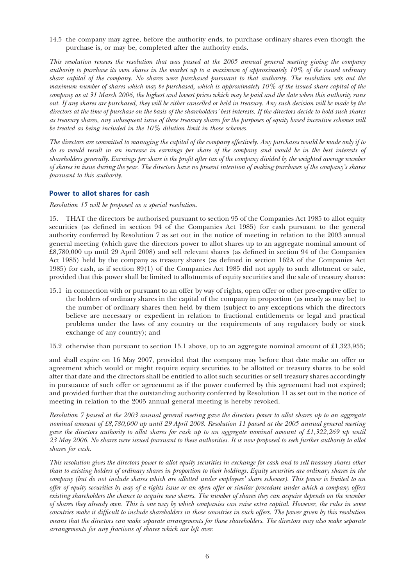14.5 the company may agree, before the authority ends, to purchase ordinary shares even though the purchase is, or may be, completed after the authority ends.

This resolution renews the resolution that was passed at the 2005 annual general meeting giving the company authority to purchase its own shares in the market up to a maximum of approximately 10% of the issued ordinary share capital of the company. No shares were purchased pursuant to that authority. The resolution sets out the maximum number of shares which may be purchased, which is approximately 10% of the issued share capital of the company as at 31 March 2006, the highest and lowest prices which may be paid and the date when this authority runs out. If any shares are purchased, they will be either cancelled or held in treasury. Any such decision will be made by the directors at the time of purchase on the basis of the shareholders' best interests. If the directors decide to hold such shares as treasury shares, any subsequent issue of these treasury shares for the purposes of equity based incentive schemes will be treated as being included in the 10% dilution limit in those schemes.

The directors are committed to managing the capital of the company effectively. Any purchases would be made only if to do so would result in an increase in earnings per share of the company and would be in the best interests of shareholders generally. Earnings per share is the profit after tax of the company divided by the weighted average number of shares in issue during the year. The directors have no present intention of making purchases of the company's shares pursuant to this authority.

## Power to allot shares for cash

Resolution 15 will be proposed as a special resolution.

15. THAT the directors be authorised pursuant to section 95 of the Companies Act 1985 to allot equity securities (as defined in section 94 of the Companies Act 1985) for cash pursuant to the general authority conferred by Resolution 7 as set out in the notice of meeting in relation to the 2003 annual general meeting (which gave the directors power to allot shares up to an aggregate nominal amount of £8,780,000 up until 29 April 2008) and sell relevant shares (as defined in section 94 of the Companies Act 1985) held by the company as treasury shares (as defined in section 162A of the Companies Act 1985) for cash, as if section 89(1) of the Companies Act 1985 did not apply to such allotment or sale, provided that this power shall be limited to allotments of equity securities and the sale of treasury shares:

15.1 in connection with or pursuant to an offer by way of rights, open offer or other pre-emptive offer to the holders of ordinary shares in the capital of the company in proportion (as nearly as may be) to the number of ordinary shares then held by them (subject to any exceptions which the directors believe are necessary or expedient in relation to fractional entitlements or legal and practical problems under the laws of any country or the requirements of any regulatory body or stock exchange of any country); and

15.2 otherwise than pursuant to section 15.1 above, up to an aggregate nominal amount of £1,323,955;

and shall expire on 16 May 2007, provided that the company may before that date make an offer or agreement which would or might require equity securities to be allotted or treasury shares to be sold after that date and the directors shall be entitled to allot such securities or sell treasury shares accordingly in pursuance of such offer or agreement as if the power conferred by this agreement had not expired; and provided further that the outstanding authority conferred by Resolution 11 as set out in the notice of meeting in relation to the 2005 annual general meeting is hereby revoked.

Resolution 7 passed at the 2003 annual general meeting gave the directors power to allot shares up to an aggregate nominal amount of £8,780,000 up until 29 April 2008. Resolution 11 passed at the 2005 annual general meeting gave the directors authority to allot shares for cash up to an aggregate nominal amount of £1,322,269 up until 23 May 2006. No shares were issued pursuant to these authorities. It is now proposed to seek further authority to allot shares for cash.

This resolution gives the directors power to allot equity securities in exchange for cash and to sell treasury shares other than to existing holders of ordinary shares in proportion to their holdings. Equity securities are ordinary shares in the company (but do not include shares which are allotted under employees' share schemes). This power is limited to an offer of equity securities by way of a rights issue or an open offer or similar procedure under which a company offers existing shareholders the chance to acquire new shares. The number of shares they can acquire depends on the number of shares they already own. This is one way by which companies can raise extra capital. However, the rules in some countries make it difficult to include shareholders in those countries in such offers. The power given by this resolution means that the directors can make separate arrangements for those shareholders. The directors may also make separate arrangements for any fractions of shares which are left over.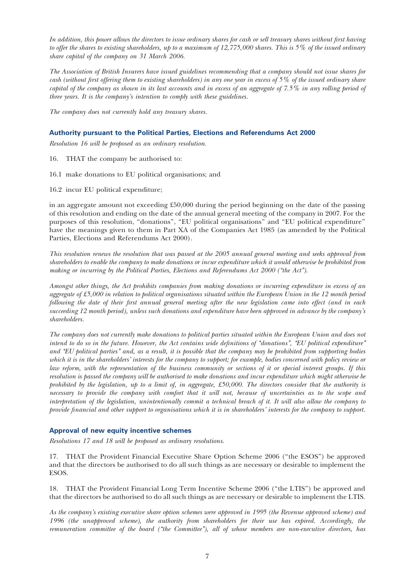In addition, this power allows the directors to issue ordinary shares for cash or sell treasury shares without first having to offer the shares to existing shareholders, up to a maximum of 12,775,000 shares. This is 5% of the issued ordinary share capital of the company on 31 March 2006.

The Association of British Insurers have issued guidelines recommending that a company should not issue shares for cash (without first offering them to existing shareholders) in any one year in excess of 5% of the issued ordinary share capital of the company as shown in its last accounts and in excess of an aggregate of 7.5% in any rolling period of three years. It is the company's intention to comply with these guidelines.

The company does not currently hold any treasury shares.

## Authority pursuant to the Political Parties, Elections and Referendums Act 2000

Resolution 16 will be proposed as an ordinary resolution.

- 16. THAT the company be authorised to:
- 16.1 make donations to EU political organisations; and
- 16.2 incur EU political expenditure;

in an aggregate amount not exceeding £50,000 during the period beginning on the date of the passing of this resolution and ending on the date of the annual general meeting of the company in 2007. For the purposes of this resolution, ''donations'', ''EU political organisations'' and ''EU political expenditure'' have the meanings given to them in Part XA of the Companies Act 1985 (as amended by the Political Parties, Elections and Referendums Act 2000).

This resolution renews the resolution that was passed at the 2005 annual general meeting and seeks approval from shareholders to enable the company to make donations or incur expenditure which it would otherwise be prohibited from making or incurring by the Political Parties, Elections and Referendums Act 2000 ("the Act").

Amongst other things, the Act prohibits companies from making donations or incurring expenditure in excess of an aggregate of £5,000 in relation to political organisations situated within the European Union in the 12 month period following the date of their first annual general meeting after the new legislation came into effect (and in each succeeding 12 month period), unless such donations and expenditure have been approved in advance by the company's shareholders.

The company does not currently make donations to political parties situated within the European Union and does not intend to do so in the future. However, the Act contains wide definitions of "donations", "EU political expenditure" and ''EU political parties'' and, as a result, it is possible that the company may be prohibited from supporting bodies which it is in the shareholders' interests for the company to support; for example, bodies concerned with policy review or law reform, with the representation of the business community or sections of it or special interest groups. If this resolution is passed the company will be authorised to make donations and incur expenditure which might otherwise be prohibited by the legislation, up to a limit of, in aggregate, £50,000. The directors consider that the authority is necessary to provide the company with comfort that it will not, because of uncertainties as to the scope and interpretation of the legislation, unintentionally commit a technical breach of it. It will also allow the company to provide financial and other support to organisations which it is in shareholders' interests for the company to support.

## Approval of new equity incentive schemes

Resolutions 17 and 18 will be proposed as ordinary resolutions.

17. THAT the Provident Financial Executive Share Option Scheme 2006 (''the ESOS'') be approved and that the directors be authorised to do all such things as are necessary or desirable to implement the ESOS.

18. THAT the Provident Financial Long Term Incentive Scheme 2006 (''the LTIS'') be approved and that the directors be authorised to do all such things as are necessary or desirable to implement the LTIS.

As the company's existing executive share option schemes were approved in 1995 (the Revenue approved scheme) and 1996 (the unapproved scheme), the authority from shareholders for their use has expired. Accordingly, the remuneration committee of the board ("the Committee"), all of whose members are non-executive directors, has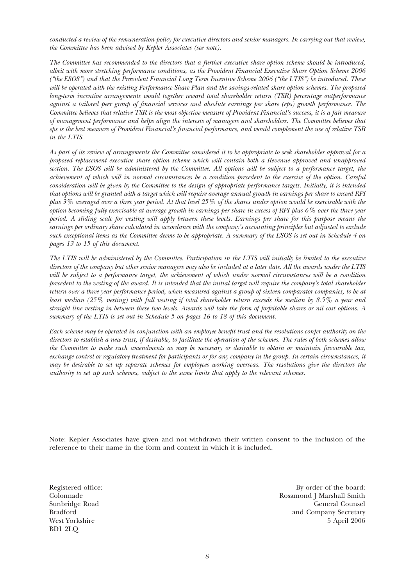conducted a review of the remuneration policy for executive directors and senior managers. In carrying out that review, the Committee has been advised by Kepler Associates (see note).

The Committee has recommended to the directors that a further executive share option scheme should be introduced, albeit with more stretching performance conditions, as the Provident Financial Executive Share Option Scheme 2006 (''the ESOS'') and that the Provident Financial Long Term Incentive Scheme 2006 (''the LTIS'') be introduced. These will be operated with the existing Performance Share Plan and the savings-related share option schemes. The proposed long-term incentive arrangements would together reward total shareholder return (TSR) percentage outperformance against a tailored peer group of financial services and absolute earnings per share (eps) growth performance. The Committee believes that relative TSR is the most objective measure of Provident Financial's success, it is a fair measure of management performance and helps align the interests of managers and shareholders. The Committee believes that eps is the best measure of Provident Financial's financial performance, and would complement the use of relative TSR in the LTIS.

As part of its review of arrangements the Committee considered it to be appropriate to seek shareholder approval for a proposed replacement executive share option scheme which will contain both a Revenue approved and unapproved section. The ESOS will be administered by the Committee. All options will be subject to a performance target, the achievement of which will in normal circumstances be a condition precedent to the exercise of the option. Careful consideration will be given by the Committee to the design of appropriate performance targets. Initially, it is intended that options will be granted with a target which will require average annual growth in earnings per share to exceed RPI plus  $3\%$  averaged over a three year period. At that level  $25\%$  of the shares under option would be exercisable with the option becoming fully exercisable at average growth in earnings per share in excess of RPI plus 6% over the three year period. A sliding scale for vesting will apply between these levels. Earnings per share for this purpose means the earnings per ordinary share calculated in accordance with the company's accounting principles but adjusted to exclude such exceptional items as the Committee deems to be appropriate. A summary of the ESOS is set out in Schedule 4 on pages 13 to 15 of this document.

The LTIS will be administered by the Committee. Participation in the LTIS will initially be limited to the executive directors of the company but other senior managers may also be included at a later date. All the awards under the LTIS will be subject to a performance target, the achievement of which under normal circumstances will be a condition precedent to the vesting of the award. It is intended that the initial target will require the company's total shareholder return over a three year performance period, when measured against a group of sixteen comparator companies, to be at least median (25% vesting) with full vesting if total shareholder return exceeds the median by 8.5% a year and straight line vesting in between these two levels. Awards will take the form of forfeitable shares or nil cost options. A summary of the LTIS is set out in Schedule 5 on pages 16 to 18 of this document.

Each scheme may be operated in conjunction with an employee benefit trust and the resolutions confer authority on the directors to establish a new trust, if desirable, to facilitate the operation of the schemes. The rules of both schemes allow the Committee to make such amendments as may be necessary or desirable to obtain or maintain favourable tax, exchange control or regulatory treatment for participants or for any company in the group. In certain circumstances, it may be desirable to set up separate schemes for employees working overseas. The resolutions give the directors the authority to set up such schemes, subject to the same limits that apply to the relevant schemes.

Note: Kepler Associates have given and not withdrawn their written consent to the inclusion of the reference to their name in the form and context in which it is included.

BD1 2LQ

Registered office: By order of the board: Colonnade Rosamond J Marshall Smith Sunbridge Road General Counsel Bradford and Company Secretary West Yorkshire 5 April 2006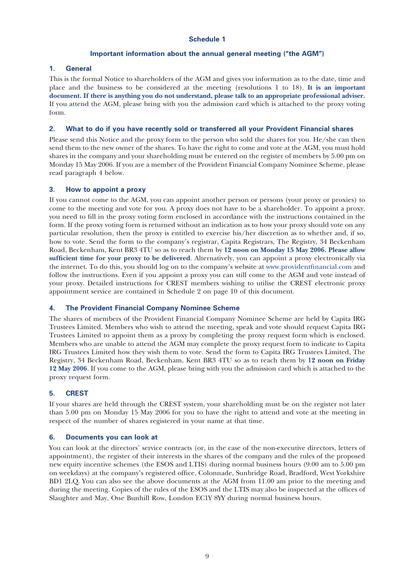## Important information about the annual general meeting (''the AGM'')

#### 1. General

This is the formal Notice to shareholders of the AGM and gives you information as to the date, time and place and the business to be considered at the meeting (resolutions 1 to 18). It is an important document. If there is anything you do not understand, please talk to an appropriate professional adviser. If you attend the AGM, please bring with you the admission card which is attached to the proxy voting form.

#### 2. What to do if you have recently sold or transferred all your Provident Financial shares

Please send this Notice and the proxy form to the person who sold the shares for you. He/she can then send them to the new owner of the shares. To have the right to come and vote at the AGM, you must hold shares in the company and your shareholding must be entered on the register of members by 5.00 pm on Monday 15 May 2006. If you are a member of the Provident Financial Company Nominee Scheme, please read paragraph 4 below.

#### 3. How to appoint a proxy

If you cannot come to the AGM, you can appoint another person or persons (your proxy or proxies) to come to the meeting and vote for you. A proxy does not have to be a shareholder. To appoint a proxy, you need to fill in the proxy voting form enclosed in accordance with the instructions contained in the form. If the proxy voting form is returned without an indication as to how your proxy should vote on any particular resolution, then the proxy is entitled to exercise his/her discretion as to whether and, if so, how to vote. Send the form to the company's registrar, Capita Registrars, The Registry, 34 Beckenham Road, Beckenham, Kent BR3 4TU so as to reach them by 12 noon on Monday 15 May 2006. Please allow sufficient time for your proxy to be delivered. Alternatively, you can appoint a proxy electronically via the internet. To do this, you should log on to the company's website at www.providentfinancial.com and follow the instructions. Even if you appoint a proxy you can still come to the AGM and vote instead of your proxy. Detailed instructions for CREST members wishing to utilise the CREST electronic proxy appointment service are contained in Schedule 2 on page 10 of this document.

## 4. The Provident Financial Company Nominee Scheme

The shares of members of the Provident Financial Company Nominee Scheme are held by Capita IRG Trustees Limited. Members who wish to attend the meeting, speak and vote should request Capita IRG Trustees Limited to appoint them as a proxy by completing the proxy request form which is enclosed. Members who are unable to attend the AGM may complete the proxy request form to indicate to Capita IRG Trustees Limited how they wish them to vote. Send the form to Capita IRG Trustees Limited, The Registry, 34 Beckenham Road, Beckenham, Kent BR3 4TU so as to reach them by 12 noon on Friday 12 May 2006. If you come to the AGM, please bring with you the admission card which is attached to the proxy request form.

## 5. CREST

If your shares are held through the CREST system, your shareholding must be on the register not later than 5.00 pm on Monday 15 May 2006 for you to have the right to attend and vote at the meeting in respect of the number of shares registered in your name at that time.

#### 6. Documents you can look at

You can look at the directors' service contracts (or, in the case of the non-executive directors, letters of appointment), the register of their interests in the shares of the company and the rules of the proposed new equity incentive schemes (the ESOS and LTIS) during normal business hours (9.00 am to 5.00 pm on weekdays) at the company's registered office, Colonnade, Sunbridge Road, Bradford, West Yorkshire BD1 2LQ. You can also see the above documents at the AGM from 11.00 am prior to the meeting and during the meeting. Copies of the rules of the ESOS and the LTIS may also be inspected at the offices of Slaughter and May, One Bunhill Row, London EC1Y 8YY during normal business hours.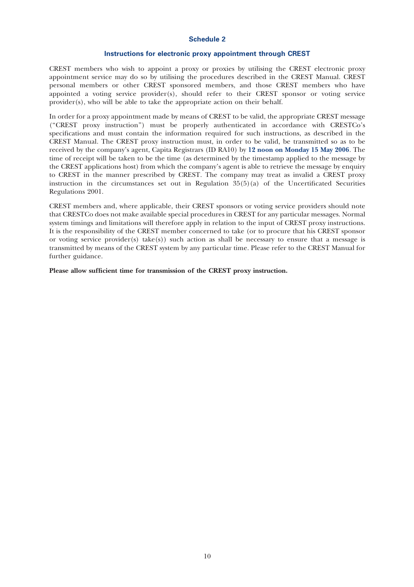#### Instructions for electronic proxy appointment through CREST

CREST members who wish to appoint a proxy or proxies by utilising the CREST electronic proxy appointment service may do so by utilising the procedures described in the CREST Manual. CREST personal members or other CREST sponsored members, and those CREST members who have appointed a voting service provider(s), should refer to their CREST sponsor or voting service provider(s), who will be able to take the appropriate action on their behalf.

In order for a proxy appointment made by means of CREST to be valid, the appropriate CREST message (''CREST proxy instruction'') must be properly authenticated in accordance with CRESTCo's specifications and must contain the information required for such instructions, as described in the CREST Manual. The CREST proxy instruction must, in order to be valid, be transmitted so as to be received by the company's agent, Capita Registrars (ID RA10) by 12 noon on Monday 15 May 2006. The time of receipt will be taken to be the time (as determined by the timestamp applied to the message by the CREST applications host) from which the company's agent is able to retrieve the message by enquiry to CREST in the manner prescribed by CREST. The company may treat as invalid a CREST proxy instruction in the circumstances set out in Regulation  $35(5)(a)$  of the Uncertificated Securities Regulations 2001.

CREST members and, where applicable, their CREST sponsors or voting service providers should note that CRESTCo does not make available special procedures in CREST for any particular messages. Normal system timings and limitations will therefore apply in relation to the input of CREST proxy instructions. It is the responsibility of the CREST member concerned to take (or to procure that his CREST sponsor or voting service provider(s) take(s)) such action as shall be necessary to ensure that a message is transmitted by means of the CREST system by any particular time. Please refer to the CREST Manual for further guidance.

Please allow sufficient time for transmission of the CREST proxy instruction.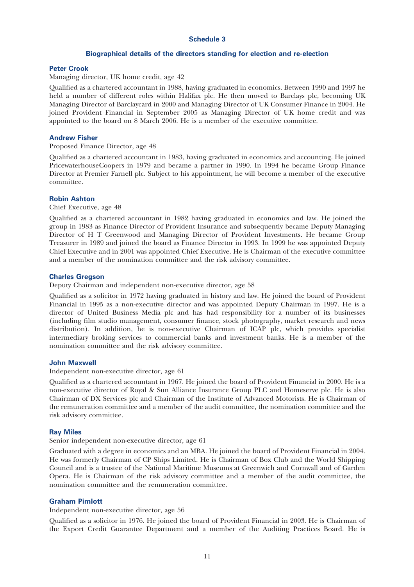## Biographical details of the directors standing for election and re-election

#### Peter Crook

Managing director, UK home credit, age 42

Qualified as a chartered accountant in 1988, having graduated in economics. Between 1990 and 1997 he held a number of different roles within Halifax plc. He then moved to Barclays plc, becoming UK Managing Director of Barclaycard in 2000 and Managing Director of UK Consumer Finance in 2004. He joined Provident Financial in September 2005 as Managing Director of UK home credit and was appointed to the board on 8 March 2006. He is a member of the executive committee.

#### Andrew Fisher

Proposed Finance Director, age 48

Qualified as a chartered accountant in 1983, having graduated in economics and accounting. He joined PricewaterhouseCoopers in 1979 and became a partner in 1990. In 1994 he became Group Finance Director at Premier Farnell plc. Subject to his appointment, he will become a member of the executive committee.

#### Robin Ashton

Chief Executive, age 48

Qualified as a chartered accountant in 1982 having graduated in economics and law. He joined the group in 1983 as Finance Director of Provident Insurance and subsequently became Deputy Managing Director of H T Greenwood and Managing Director of Provident Investments. He became Group Treasurer in 1989 and joined the board as Finance Director in 1993. In 1999 he was appointed Deputy Chief Executive and in 2001 was appointed Chief Executive. He is Chairman of the executive committee and a member of the nomination committee and the risk advisory committee.

#### Charles Gregson

Deputy Chairman and independent non-executive director, age 58

Qualified as a solicitor in 1972 having graduated in history and law. He joined the board of Provident Financial in 1995 as a non-executive director and was appointed Deputy Chairman in 1997. He is a director of United Business Media plc and has had responsibility for a number of its businesses (including film studio management, consumer finance, stock photography, market research and news distribution). In addition, he is non-executive Chairman of ICAP plc, which provides specialist intermediary broking services to commercial banks and investment banks. He is a member of the nomination committee and the risk advisory committee.

## John Maxwell

Independent non-executive director, age 61

Qualified as a chartered accountant in 1967. He joined the board of Provident Financial in 2000. He is a non-executive director of Royal & Sun Alliance Insurance Group PLC and Homeserve plc. He is also Chairman of DX Services plc and Chairman of the Institute of Advanced Motorists. He is Chairman of the remuneration committee and a member of the audit committee, the nomination committee and the risk advisory committee.

#### Ray Miles

Senior independent non-executive director, age 61

Graduated with a degree in economics and an MBA. He joined the board of Provident Financial in 2004. He was formerly Chairman of CP Ships Limited. He is Chairman of Box Club and the World Shipping Council and is a trustee of the National Maritime Museums at Greenwich and Cornwall and of Garden Opera. He is Chairman of the risk advisory committee and a member of the audit committee, the nomination committee and the remuneration committee.

#### Graham Pimlott

Independent non-executive director, age 56

Qualified as a solicitor in 1976. He joined the board of Provident Financial in 2003. He is Chairman of the Export Credit Guarantee Department and a member of the Auditing Practices Board. He is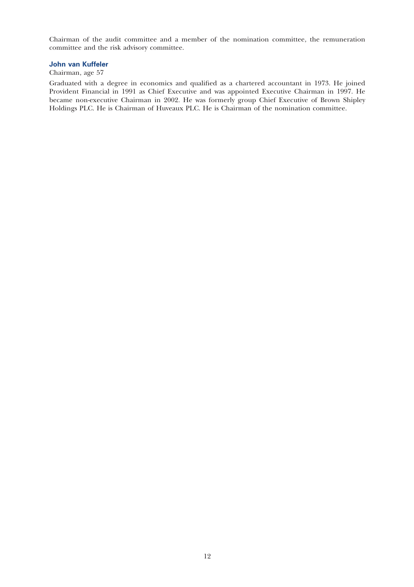Chairman of the audit committee and a member of the nomination committee, the remuneration committee and the risk advisory committee.

## John van Kuffeler

# Chairman, age 57

Graduated with a degree in economics and qualified as a chartered accountant in 1973. He joined Provident Financial in 1991 as Chief Executive and was appointed Executive Chairman in 1997. He became non-executive Chairman in 2002. He was formerly group Chief Executive of Brown Shipley Holdings PLC. He is Chairman of Huveaux PLC. He is Chairman of the nomination committee.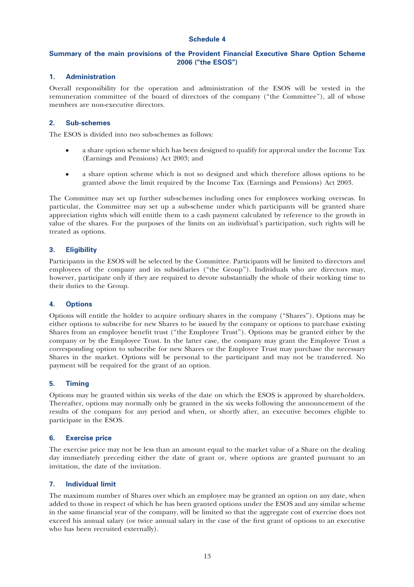## Summary of the main provisions of the Provident Financial Executive Share Option Scheme 2006 (''the ESOS'')

## 1. Administration

Overall responsibility for the operation and administration of the ESOS will be vested in the remuneration committee of the board of directors of the company (''the Committee''), all of whose members are non-executive directors.

## 2. Sub-schemes

The ESOS is divided into two sub-schemes as follows:

- s a share option scheme which has been designed to qualify for approval under the Income Tax (Earnings and Pensions) Act 2003; and
- s a share option scheme which is not so designed and which therefore allows options to be granted above the limit required by the Income Tax (Earnings and Pensions) Act 2003.

The Committee may set up further sub-schemes including ones for employees working overseas. In particular, the Committee may set up a sub-scheme under which participants will be granted share appreciation rights which will entitle them to a cash payment calculated by reference to the growth in value of the shares. For the purposes of the limits on an individual's participation, such rights will be treated as options.

## 3. Eligibility

Participants in the ESOS will be selected by the Committee. Participants will be limited to directors and employees of the company and its subsidiaries (''the Group''). Individuals who are directors may, however, participate only if they are required to devote substantially the whole of their working time to their duties to the Group.

## 4. Options

Options will entitle the holder to acquire ordinary shares in the company (''Shares''). Options may be either options to subscribe for new Shares to be issued by the company or options to purchase existing Shares from an employee benefit trust (''the Employee Trust''). Options may be granted either by the company or by the Employee Trust. In the latter case, the company may grant the Employee Trust a corresponding option to subscribe for new Shares or the Employee Trust may purchase the necessary Shares in the market. Options will be personal to the participant and may not be transferred. No payment will be required for the grant of an option.

## 5. Timing

Options may be granted within six weeks of the date on which the ESOS is approved by shareholders. Thereafter, options may normally only be granted in the six weeks following the announcement of the results of the company for any period and when, or shortly after, an executive becomes eligible to participate in the ESOS.

## 6. Exercise price

The exercise price may not be less than an amount equal to the market value of a Share on the dealing day immediately preceding either the date of grant or, where options are granted pursuant to an invitation, the date of the invitation.

## 7. Individual limit

The maximum number of Shares over which an employee may be granted an option on any date, when added to those in respect of which he has been granted options under the ESOS and any similar scheme in the same financial year of the company, will be limited so that the aggregate cost of exercise does not exceed his annual salary (or twice annual salary in the case of the first grant of options to an executive who has been recruited externally).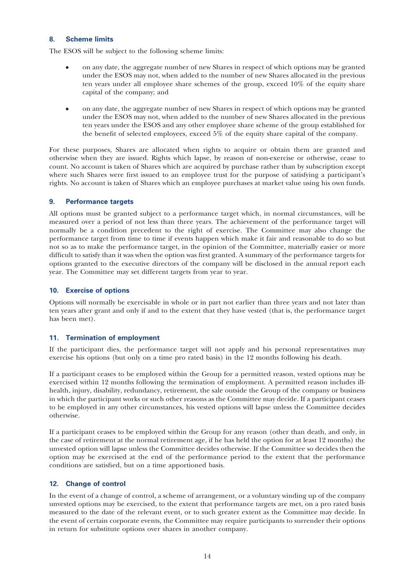## 8. Scheme limits

The ESOS will be subject to the following scheme limits:

- s on any date, the aggregate number of new Shares in respect of which options may be granted under the ESOS may not, when added to the number of new Shares allocated in the previous ten years under all employee share schemes of the group, exceed 10% of the equity share capital of the company; and
- s on any date, the aggregate number of new Shares in respect of which options may be granted under the ESOS may not, when added to the number of new Shares allocated in the previous ten years under the ESOS and any other employee share scheme of the group established for the benefit of selected employees, exceed 5% of the equity share capital of the company.

For these purposes, Shares are allocated when rights to acquire or obtain them are granted and otherwise when they are issued. Rights which lapse, by reason of non-exercise or otherwise, cease to count. No account is taken of Shares which are acquired by purchase rather than by subscription except where such Shares were first issued to an employee trust for the purpose of satisfying a participant's rights. No account is taken of Shares which an employee purchases at market value using his own funds.

## 9. Performance targets

All options must be granted subject to a performance target which, in normal circumstances, will be measured over a period of not less than three years. The achievement of the performance target will normally be a condition precedent to the right of exercise. The Committee may also change the performance target from time to time if events happen which make it fair and reasonable to do so but not so as to make the performance target, in the opinion of the Committee, materially easier or more difficult to satisfy than it was when the option was first granted. A summary of the performance targets for options granted to the executive directors of the company will be disclosed in the annual report each year. The Committee may set different targets from year to year.

## 10. Exercise of options

Options will normally be exercisable in whole or in part not earlier than three years and not later than ten years after grant and only if and to the extent that they have vested (that is, the performance target has been met).

## 11. Termination of employment

If the participant dies, the performance target will not apply and his personal representatives may exercise his options (but only on a time pro rated basis) in the 12 months following his death.

If a participant ceases to be employed within the Group for a permitted reason, vested options may be exercised within 12 months following the termination of employment. A permitted reason includes illhealth, injury, disability, redundancy, retirement, the sale outside the Group of the company or business in which the participant works or such other reasons as the Committee may decide. If a participant ceases to be employed in any other circumstances, his vested options will lapse unless the Committee decides otherwise.

If a participant ceases to be employed within the Group for any reason (other than death, and only, in the case of retirement at the normal retirement age, if he has held the option for at least 12 months) the unvested option will lapse unless the Committee decides otherwise. If the Committee so decides then the option may be exercised at the end of the performance period to the extent that the performance conditions are satisfied, but on a time apportioned basis.

## 12. Change of control

In the event of a change of control, a scheme of arrangement, or a voluntary winding up of the company unvested options may be exercised, to the extent that performance targets are met, on a pro rated basis measured to the date of the relevant event, or to such greater extent as the Committee may decide. In the event of certain corporate events, the Committee may require participants to surrender their options in return for substitute options over shares in another company.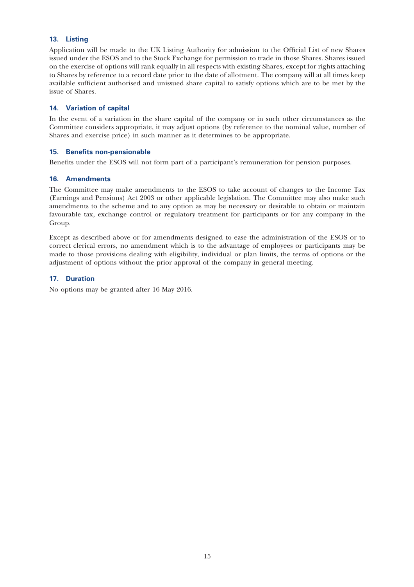## 13. Listing

Application will be made to the UK Listing Authority for admission to the Official List of new Shares issued under the ESOS and to the Stock Exchange for permission to trade in those Shares. Shares issued on the exercise of options will rank equally in all respects with existing Shares, except for rights attaching to Shares by reference to a record date prior to the date of allotment. The company will at all times keep available sufficient authorised and unissued share capital to satisfy options which are to be met by the issue of Shares.

## 14. Variation of capital

In the event of a variation in the share capital of the company or in such other circumstances as the Committee considers appropriate, it may adjust options (by reference to the nominal value, number of Shares and exercise price) in such manner as it determines to be appropriate.

## 15. Benefits non-pensionable

Benefits under the ESOS will not form part of a participant's remuneration for pension purposes.

## 16. Amendments

The Committee may make amendments to the ESOS to take account of changes to the Income Tax (Earnings and Pensions) Act 2003 or other applicable legislation. The Committee may also make such amendments to the scheme and to any option as may be necessary or desirable to obtain or maintain favourable tax, exchange control or regulatory treatment for participants or for any company in the Group.

Except as described above or for amendments designed to ease the administration of the ESOS or to correct clerical errors, no amendment which is to the advantage of employees or participants may be made to those provisions dealing with eligibility, individual or plan limits, the terms of options or the adjustment of options without the prior approval of the company in general meeting.

## 17. Duration

No options may be granted after 16 May 2016.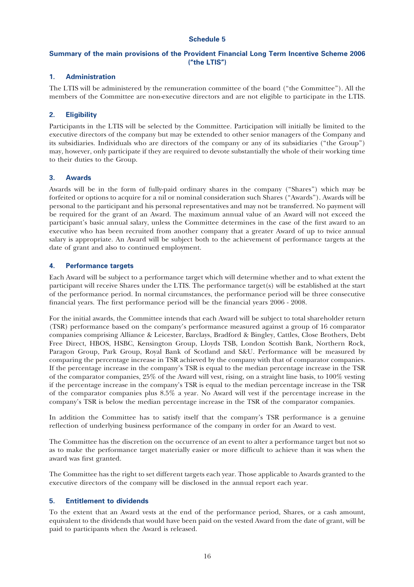## Summary of the main provisions of the Provident Financial Long Term Incentive Scheme 2006 (''the LTIS'')

## 1. Administration

The LTIS will be administered by the remuneration committee of the board (''the Committee''). All the members of the Committee are non-executive directors and are not eligible to participate in the LTIS.

# 2. Eligibility

Participants in the LTIS will be selected by the Committee. Participation will initially be limited to the executive directors of the company but may be extended to other senior managers of the Company and its subsidiaries. Individuals who are directors of the company or any of its subsidiaries (''the Group'') may, however, only participate if they are required to devote substantially the whole of their working time to their duties to the Group.

## 3. Awards

Awards will be in the form of fully-paid ordinary shares in the company (''Shares'') which may be forfeited or options to acquire for a nil or nominal consideration such Shares (''Awards''). Awards will be personal to the participant and his personal representatives and may not be transferred. No payment will be required for the grant of an Award. The maximum annual value of an Award will not exceed the participant's basic annual salary, unless the Committee determines in the case of the first award to an executive who has been recruited from another company that a greater Award of up to twice annual salary is appropriate. An Award will be subject both to the achievement of performance targets at the date of grant and also to continued employment.

## 4. Performance targets

Each Award will be subject to a performance target which will determine whether and to what extent the participant will receive Shares under the LTIS. The performance target(s) will be established at the start of the performance period. In normal circumstances, the performance period will be three consecutive financial years. The first performance period will be the financial years 2006 - 2008.

For the initial awards, the Committee intends that each Award will be subject to total shareholder return (TSR) performance based on the company's performance measured against a group of 16 comparator companies comprising Alliance & Leicester, Barclays, Bradford & Bingley, Cattles, Close Brothers, Debt Free Direct, HBOS, HSBC, Kensington Group, Lloyds TSB, London Scottish Bank, Northern Rock, Paragon Group, Park Group, Royal Bank of Scotland and S&U. Performance will be measured by comparing the percentage increase in TSR achieved by the company with that of comparator companies. If the percentage increase in the company's TSR is equal to the median percentage increase in the TSR of the comparator companies, 25% of the Award will vest, rising, on a straight line basis, to 100% vesting if the percentage increase in the company's TSR is equal to the median percentage increase in the TSR of the comparator companies plus 8.5% a year. No Award will vest if the percentage increase in the company's TSR is below the median percentage increase in the TSR of the comparator companies.

In addition the Committee has to satisfy itself that the company's TSR performance is a genuine reflection of underlying business performance of the company in order for an Award to vest.

The Committee has the discretion on the occurrence of an event to alter a performance target but not so as to make the performance target materially easier or more difficult to achieve than it was when the award was first granted.

The Committee has the right to set different targets each year. Those applicable to Awards granted to the executive directors of the company will be disclosed in the annual report each year.

## 5. Entitlement to dividends

To the extent that an Award vests at the end of the performance period, Shares, or a cash amount, equivalent to the dividends that would have been paid on the vested Award from the date of grant, will be paid to participants when the Award is released.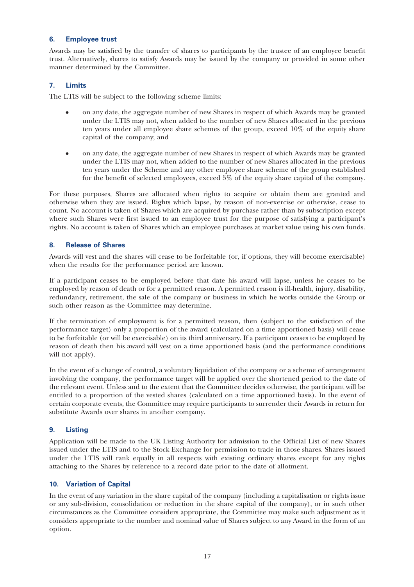## 6. Employee trust

Awards may be satisfied by the transfer of shares to participants by the trustee of an employee benefit trust. Alternatively, shares to satisfy Awards may be issued by the company or provided in some other manner determined by the Committee.

# 7. Limits

The LTIS will be subject to the following scheme limits:

- s on any date, the aggregate number of new Shares in respect of which Awards may be granted under the LTIS may not, when added to the number of new Shares allocated in the previous ten years under all employee share schemes of the group, exceed 10% of the equity share capital of the company; and
- s on any date, the aggregate number of new Shares in respect of which Awards may be granted under the LTIS may not, when added to the number of new Shares allocated in the previous ten years under the Scheme and any other employee share scheme of the group established for the benefit of selected employees, exceed 5% of the equity share capital of the company.

For these purposes, Shares are allocated when rights to acquire or obtain them are granted and otherwise when they are issued. Rights which lapse, by reason of non-exercise or otherwise, cease to count. No account is taken of Shares which are acquired by purchase rather than by subscription except where such Shares were first issued to an employee trust for the purpose of satisfying a participant's rights. No account is taken of Shares which an employee purchases at market value using his own funds.

## 8. Release of Shares

Awards will vest and the shares will cease to be forfeitable (or, if options, they will become exercisable) when the results for the performance period are known.

If a participant ceases to be employed before that date his award will lapse, unless he ceases to be employed by reason of death or for a permitted reason. A permitted reason is ill-health, injury, disability, redundancy, retirement, the sale of the company or business in which he works outside the Group or such other reason as the Committee may determine.

If the termination of employment is for a permitted reason, then (subject to the satisfaction of the performance target) only a proportion of the award (calculated on a time apportioned basis) will cease to be forfeitable (or will be exercisable) on its third anniversary. If a participant ceases to be employed by reason of death then his award will vest on a time apportioned basis (and the performance conditions will not apply).

In the event of a change of control, a voluntary liquidation of the company or a scheme of arrangement involving the company, the performance target will be applied over the shortened period to the date of the relevant event. Unless and to the extent that the Committee decides otherwise, the participant will be entitled to a proportion of the vested shares (calculated on a time apportioned basis). In the event of certain corporate events, the Committee may require participants to surrender their Awards in return for substitute Awards over shares in another company.

## 9. Listing

Application will be made to the UK Listing Authority for admission to the Official List of new Shares issued under the LTIS and to the Stock Exchange for permission to trade in those shares. Shares issued under the LTIS will rank equally in all respects with existing ordinary shares except for any rights attaching to the Shares by reference to a record date prior to the date of allotment.

## 10. Variation of Capital

In the event of any variation in the share capital of the company (including a capitalisation or rights issue or any sub-division, consolidation or reduction in the share capital of the company), or in such other circumstances as the Committee considers appropriate, the Committee may make such adjustment as it considers appropriate to the number and nominal value of Shares subject to any Award in the form of an option.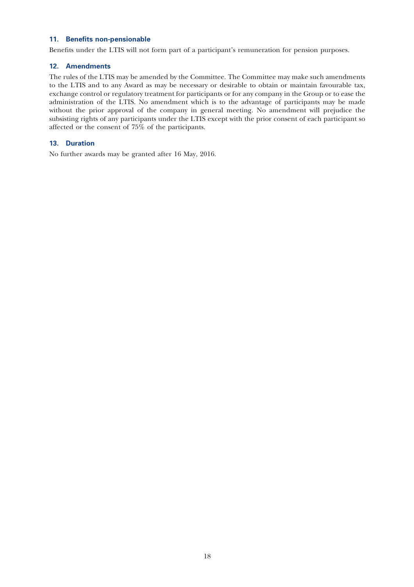## 11. Benefits non-pensionable

Benefits under the LTIS will not form part of a participant's remuneration for pension purposes.

## 12. Amendments

The rules of the LTIS may be amended by the Committee. The Committee may make such amendments to the LTIS and to any Award as may be necessary or desirable to obtain or maintain favourable tax, exchange control or regulatory treatment for participants or for any company in the Group or to ease the administration of the LTIS. No amendment which is to the advantage of participants may be made without the prior approval of the company in general meeting. No amendment will prejudice the subsisting rights of any participants under the LTIS except with the prior consent of each participant so affected or the consent of 75% of the participants.

## 13. Duration

No further awards may be granted after 16 May, 2016.